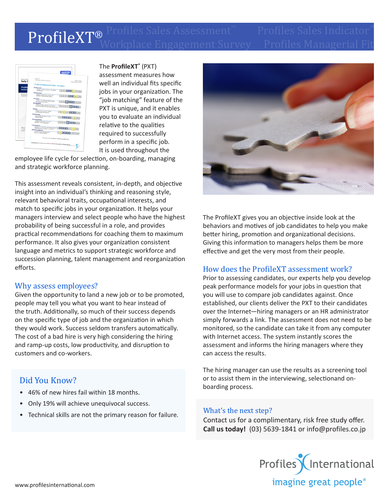## → **ProfileXT®** Profiles Sales Assessment™ Profiles Sales Indicator™ Workplace Engagement Survey – Profiles Managerial Fit ProfileXT®



The **ProfileXT®** (PXT) assessment measures how well an individual fits specific jobs in your organization. The "job matching" feature of the PXT is unique, and it enables you to evaluate an individual relative to the qualities required to successfully perform in a specific job. It is used throughout the

employee life cycle for selection, on-boarding, managing and strategic workforce planning.

This assessment reveals consistent, in-depth, and objective insight into an individual's thinking and reasoning style, relevant behavioral traits, occupational interests, and match to specific jobs in your organization. It helps your managers interview and select people who have the highest probability of being successful in a role, and provides practical recommendations for coaching them to maximum performance. It also gives your organization consistent language and metrics to support strategic workforce and succession planning, talent management and reorganization efforts.

### Why assess employees?

Given the opportunity to land a new job or to be promoted, people may tell you what you want to hear instead of the truth. Additionally, so much of their success depends on the specific type of job and the organization in which they would work. Success seldom transfers automatically. The cost of a bad hire is very high considering the hiring and ramp-up costs, low productivity, and disruption to customers and co-workers.

# Did You Know?

- 46% of new hires fail within 18 months.
- Only 19% will achieve unequivocal success.
- Technical skills are not the primary reason for failure. What's the next step?



The ProfileXT gives you an objective inside look at the behaviors and motives of job candidates to help you make better hiring, promotion and organizational decisions. Giving this information to managers helps them be more effective and get the very most from their people.

## How does the ProfileXT assessment work?

Prior to assessing candidates, our experts help you develop peak performance models for your jobs in question that you will use to compare job candidates against. Once established, our clients deliver the PXT to their candidates over the Internet—hiring managers or an HR administrator simply forwards a link. The assessment does not need to be monitored, so the candidate can take it from any computer with Internet access. The system instantly scores the assessment and informs the hiring managers where they can access the results.

The hiring manager can use the results as a screening tool or to assist them in the interviewing, selectionand onboarding process.

Contact us for a complimentary, risk free study offer. **Call us today!** (03) 5639-1841 or info@profiles.co.jp